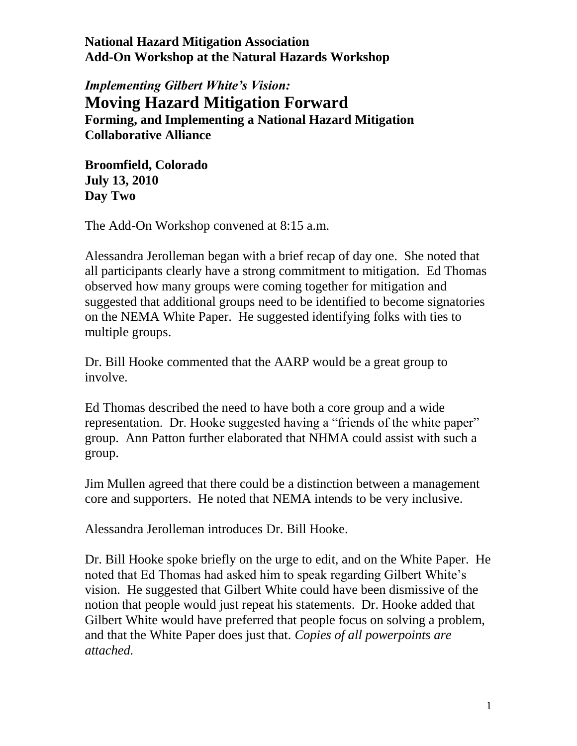*Implementing Gilbert White's Vision:* **Moving Hazard Mitigation Forward Forming, and Implementing a National Hazard Mitigation Collaborative Alliance**

**Broomfield, Colorado July 13, 2010 Day Two**

The Add-On Workshop convened at 8:15 a.m.

Alessandra Jerolleman began with a brief recap of day one. She noted that all participants clearly have a strong commitment to mitigation. Ed Thomas observed how many groups were coming together for mitigation and suggested that additional groups need to be identified to become signatories on the NEMA White Paper. He suggested identifying folks with ties to multiple groups.

Dr. Bill Hooke commented that the AARP would be a great group to involve.

Ed Thomas described the need to have both a core group and a wide representation. Dr. Hooke suggested having a "friends of the white paper" group. Ann Patton further elaborated that NHMA could assist with such a group.

Jim Mullen agreed that there could be a distinction between a management core and supporters. He noted that NEMA intends to be very inclusive.

Alessandra Jerolleman introduces Dr. Bill Hooke.

Dr. Bill Hooke spoke briefly on the urge to edit, and on the White Paper. He noted that Ed Thomas had asked him to speak regarding Gilbert White's vision. He suggested that Gilbert White could have been dismissive of the notion that people would just repeat his statements. Dr. Hooke added that Gilbert White would have preferred that people focus on solving a problem, and that the White Paper does just that. *Copies of all powerpoints are attached.*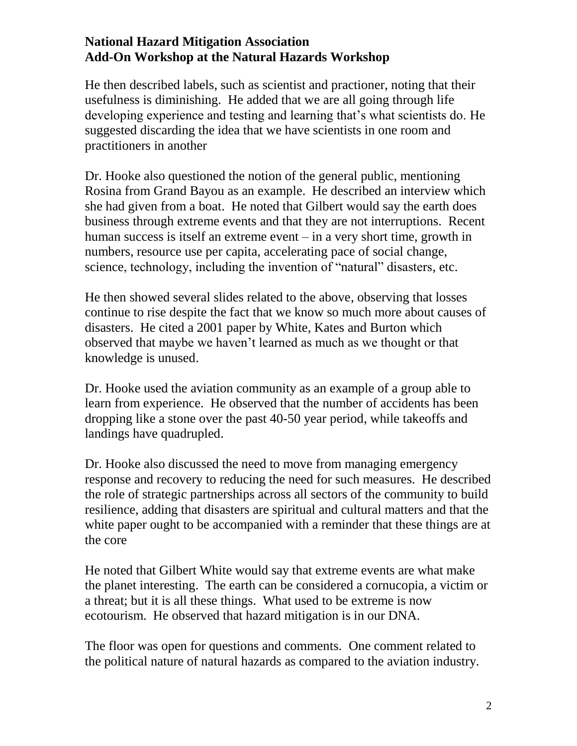He then described labels, such as scientist and practioner, noting that their usefulness is diminishing. He added that we are all going through life developing experience and testing and learning that's what scientists do. He suggested discarding the idea that we have scientists in one room and practitioners in another

Dr. Hooke also questioned the notion of the general public, mentioning Rosina from Grand Bayou as an example. He described an interview which she had given from a boat. He noted that Gilbert would say the earth does business through extreme events and that they are not interruptions. Recent human success is itself an extreme event – in a very short time, growth in numbers, resource use per capita, accelerating pace of social change, science, technology, including the invention of "natural" disasters, etc.

He then showed several slides related to the above, observing that losses continue to rise despite the fact that we know so much more about causes of disasters. He cited a 2001 paper by White, Kates and Burton which observed that maybe we haven't learned as much as we thought or that knowledge is unused.

Dr. Hooke used the aviation community as an example of a group able to learn from experience. He observed that the number of accidents has been dropping like a stone over the past 40-50 year period, while takeoffs and landings have quadrupled.

Dr. Hooke also discussed the need to move from managing emergency response and recovery to reducing the need for such measures. He described the role of strategic partnerships across all sectors of the community to build resilience, adding that disasters are spiritual and cultural matters and that the white paper ought to be accompanied with a reminder that these things are at the core

He noted that Gilbert White would say that extreme events are what make the planet interesting. The earth can be considered a cornucopia, a victim or a threat; but it is all these things. What used to be extreme is now ecotourism. He observed that hazard mitigation is in our DNA.

The floor was open for questions and comments. One comment related to the political nature of natural hazards as compared to the aviation industry.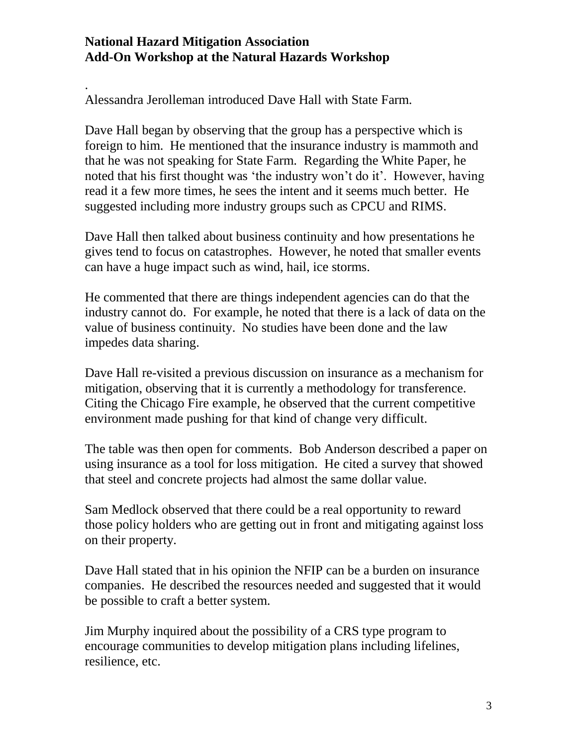.

Alessandra Jerolleman introduced Dave Hall with State Farm.

Dave Hall began by observing that the group has a perspective which is foreign to him. He mentioned that the insurance industry is mammoth and that he was not speaking for State Farm. Regarding the White Paper, he noted that his first thought was 'the industry won't do it'. However, having read it a few more times, he sees the intent and it seems much better. He suggested including more industry groups such as CPCU and RIMS.

Dave Hall then talked about business continuity and how presentations he gives tend to focus on catastrophes. However, he noted that smaller events can have a huge impact such as wind, hail, ice storms.

He commented that there are things independent agencies can do that the industry cannot do. For example, he noted that there is a lack of data on the value of business continuity. No studies have been done and the law impedes data sharing.

Dave Hall re-visited a previous discussion on insurance as a mechanism for mitigation, observing that it is currently a methodology for transference. Citing the Chicago Fire example, he observed that the current competitive environment made pushing for that kind of change very difficult.

The table was then open for comments. Bob Anderson described a paper on using insurance as a tool for loss mitigation. He cited a survey that showed that steel and concrete projects had almost the same dollar value.

Sam Medlock observed that there could be a real opportunity to reward those policy holders who are getting out in front and mitigating against loss on their property.

Dave Hall stated that in his opinion the NFIP can be a burden on insurance companies. He described the resources needed and suggested that it would be possible to craft a better system.

Jim Murphy inquired about the possibility of a CRS type program to encourage communities to develop mitigation plans including lifelines, resilience, etc.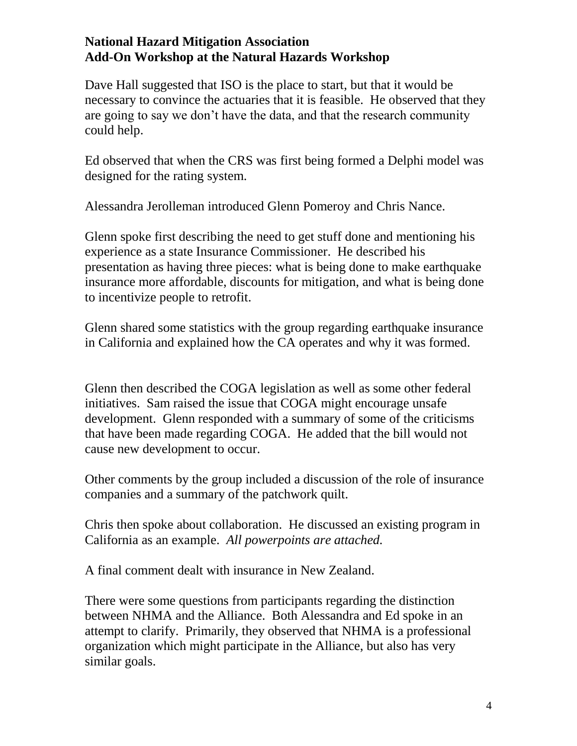Dave Hall suggested that ISO is the place to start, but that it would be necessary to convince the actuaries that it is feasible. He observed that they are going to say we don't have the data, and that the research community could help.

Ed observed that when the CRS was first being formed a Delphi model was designed for the rating system.

Alessandra Jerolleman introduced Glenn Pomeroy and Chris Nance.

Glenn spoke first describing the need to get stuff done and mentioning his experience as a state Insurance Commissioner. He described his presentation as having three pieces: what is being done to make earthquake insurance more affordable, discounts for mitigation, and what is being done to incentivize people to retrofit.

Glenn shared some statistics with the group regarding earthquake insurance in California and explained how the CA operates and why it was formed.

Glenn then described the COGA legislation as well as some other federal initiatives. Sam raised the issue that COGA might encourage unsafe development. Glenn responded with a summary of some of the criticisms that have been made regarding COGA. He added that the bill would not cause new development to occur.

Other comments by the group included a discussion of the role of insurance companies and a summary of the patchwork quilt.

Chris then spoke about collaboration. He discussed an existing program in California as an example. *All powerpoints are attached.*

A final comment dealt with insurance in New Zealand.

There were some questions from participants regarding the distinction between NHMA and the Alliance. Both Alessandra and Ed spoke in an attempt to clarify. Primarily, they observed that NHMA is a professional organization which might participate in the Alliance, but also has very similar goals.